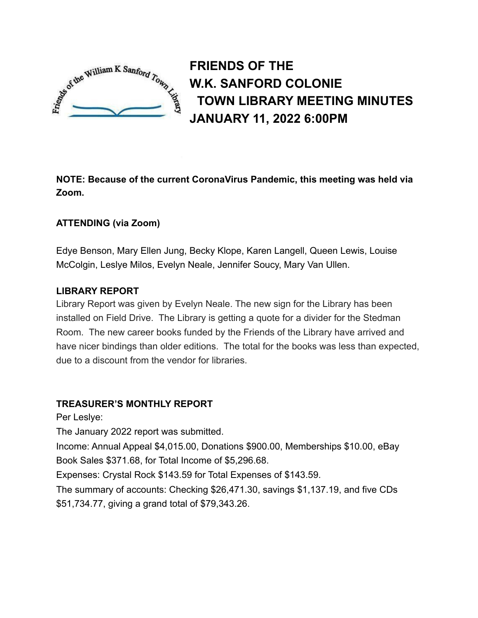

**FRIENDS OF THE W.K. SANFORD COLONIE TOWN LIBRARY MEETING MINUTES JANUARY 11, 2022 6:00PM**

**NOTE: Because of the current CoronaVirus Pandemic, this meeting was held via Zoom.**

# **ATTENDING (via Zoom)**

Edye Benson, Mary Ellen Jung, Becky Klope, Karen Langell, Queen Lewis, Louise McColgin, Leslye Milos, Evelyn Neale, Jennifer Soucy, Mary Van Ullen.

# **LIBRARY REPORT**

Library Report was given by Evelyn Neale. The new sign for the Library has been installed on Field Drive. The Library is getting a quote for a divider for the Stedman Room. The new career books funded by the Friends of the Library have arrived and have nicer bindings than older editions. The total for the books was less than expected, due to a discount from the vendor for libraries.

# **TREASURER'S MONTHLY REPORT**

Per Leslye:

The January 2022 report was submitted.

Income: Annual Appeal \$4,015.00, Donations \$900.00, Memberships \$10.00, eBay Book Sales \$371.68, for Total Income of \$5,296.68.

Expenses: Crystal Rock \$143.59 for Total Expenses of \$143.59.

The summary of accounts: Checking \$26,471.30, savings \$1,137.19, and five CDs \$51,734.77, giving a grand total of \$79,343.26.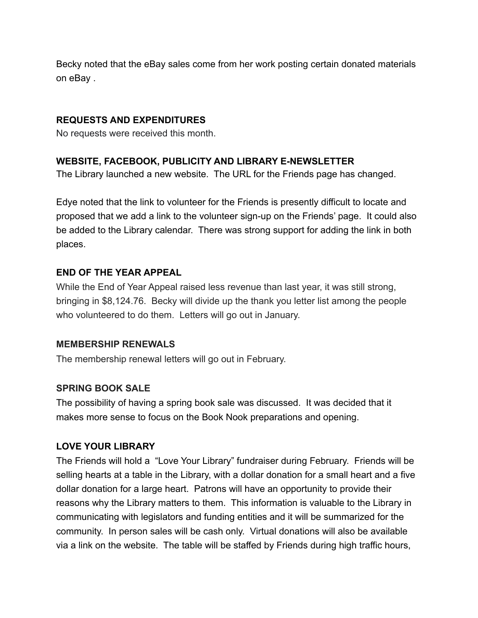Becky noted that the eBay sales come from her work posting certain donated materials on eBay .

# **REQUESTS AND EXPENDITURES**

No requests were received this month.

## **WEBSITE, FACEBOOK, PUBLICITY AND LIBRARY E-NEWSLETTER**

The Library launched a new website. The URL for the Friends page has changed.

Edye noted that the link to volunteer for the Friends is presently difficult to locate and proposed that we add a link to the volunteer sign-up on the Friends' page. It could also be added to the Library calendar. There was strong support for adding the link in both places.

## **END OF THE YEAR APPEAL**

While the End of Year Appeal raised less revenue than last year, it was still strong, bringing in \$8,124.76. Becky will divide up the thank you letter list among the people who volunteered to do them. Letters will go out in January.

#### **MEMBERSHIP RENEWALS**

The membership renewal letters will go out in February.

### **SPRING BOOK SALE**

The possibility of having a spring book sale was discussed. It was decided that it makes more sense to focus on the Book Nook preparations and opening.

### **LOVE YOUR LIBRARY**

The Friends will hold a "Love Your Library" fundraiser during February. Friends will be selling hearts at a table in the Library, with a dollar donation for a small heart and a five dollar donation for a large heart. Patrons will have an opportunity to provide their reasons why the Library matters to them. This information is valuable to the Library in communicating with legislators and funding entities and it will be summarized for the community. In person sales will be cash only. Virtual donations will also be available via a link on the website. The table will be staffed by Friends during high traffic hours,